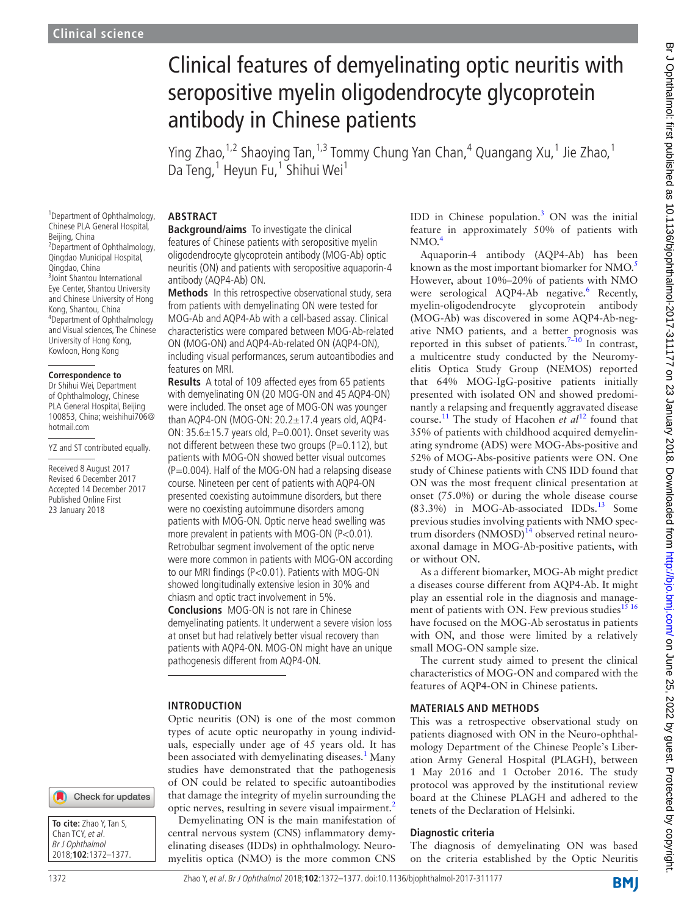# Clinical features of demyelinating optic neuritis with seropositive myelin oligodendrocyte glycoprotein antibody in Chinese patients

Ying Zhao,<sup>1,2</sup> Shaoying Tan,<sup>1,3</sup> Tommy Chung Yan Chan,<sup>4</sup> Quangang Xu,<sup>1</sup> Jie Zhao,<sup>1</sup> Da Teng,<sup>1</sup> Heyun Fu,<sup>1</sup> Shihui Wei<sup>1</sup>

1 Department of Ophthalmology, Chinese PLA General Hospital, Beijing, China <sup>2</sup> Department of Ophthalmology, Qingdao Municipal Hospital, Qingdao, China 3 Joint Shantou International Eye Center, Shantou University and Chinese University of Hong Kong, Shantou, China 4 Department of Ophthalmology and Visual sciences, The Chinese University of Hong Kong, Kowloon, Hong Kong

#### **Correspondence to**

Dr Shihui Wei, Department of Ophthalmology, Chinese PLA General Hospital, Beijing 100853, China; weishihui706@ hotmail.com

YZ and ST contributed equally.

Received 8 August 2017 Revised 6 December 2017 Accepted 14 December 2017 Published Online First 23 January 2018

## **Abstract**

**Background/aims** To investigate the clinical features of Chinese patients with seropositive myelin oligodendrocyte glycoprotein antibody (MOG-Ab) optic neuritis (ON) and patients with seropositive aquaporin-4 antibody (AQP4-Ab) ON.

**Methods** In this retrospective observational study, sera from patients with demyelinating ON were tested for MOG-Ab and AQP4-Ab with a cell-based assay. Clinical characteristics were compared between MOG-Ab-related ON (MOG-ON) and AQP4-Ab-related ON (AQP4-ON), including visual performances, serum autoantibodies and features on MRI.

**Results** A total of 109 affected eyes from 65 patients with demyelinating ON (20 MOG-ON and 45 AQP4-ON) were included. The onset age of MOG-ON was younger than AQP4-ON (MOG-ON: 20.2±17.4 years old, AQP4- ON:  $35.6 \pm 15.7$  years old, P=0.001). Onset severity was not different between these two groups ( $P=0.112$ ), but patients with MOG-ON showed better visual outcomes  $(P=0.004)$ . Half of the MOG-ON had a relapsing disease course. Nineteen per cent of patients with AQP4-ON presented coexisting autoimmune disorders, but there were no coexisting autoimmune disorders among patients with MOG-ON. Optic nerve head swelling was more prevalent in patients with MOG-ON (P<0.01). Retrobulbar segment involvement of the optic nerve were more common in patients with MOG-ON according to our MRI findings (P<0.01). Patients with MOG-ON showed longitudinally extensive lesion in 30% and chiasm and optic tract involvement in 5%. **Conclusions** MOG-ON is not rare in Chinese demyelinating patients. It underwent a severe vision loss at onset but had relatively better visual recovery than patients with AQP4-ON. MOG-ON might have an unique pathogenesis different from AQP4-ON.

#### **Introduction**

Optic neuritis (ON) is one of the most common types of acute optic neuropathy in young individuals, especially under age of 45 years old. It has been associated with demyelinating diseases.<sup>1</sup> Many studies have demonstrated that the pathogenesis of ON could be related to specific autoantibodies that damage the integrity of myelin surrounding the optic nerves, resulting in severe visual impairment.[2](#page-4-1)

Demyelinating ON is the main manifestation of central nervous system (CNS) inflammatory demyelinating diseases (IDDs) in ophthalmology. Neuromyelitis optica (NMO) is the more common CNS

IDD in Chinese population. $3$  ON was the initial feature in approximately 50% of patients with  $NMO.<sup>4</sup>$ 

Aquaporin-4 antibody (AQP4-Ab) has been known as the most important biomarker for NMO.<sup>[5](#page-4-4)</sup> However, about 10%–20% of patients with NMO were serological AQP4-Ab negative.<sup>6</sup> Recently, myelin-oligodendrocyte glycoprotein antibody (MOG-Ab) was discovered in some AQP4-Ab-negative NMO patients, and a better prognosis was reported in this subset of patients.<sup>7-10</sup> In contrast, a multicentre study conducted by the Neuromyelitis Optica Study Group (NEMOS) reported that 64% MOG-IgG-positive patients initially presented with isolated ON and showed predominantly a relapsing and frequently aggravated disease course[.11](#page-4-7) The study of Hacohen *et al*[12](#page-4-8) found that 35% of patients with childhood acquired demyelinating syndrome (ADS) were MOG-Abs-positive and 52% of MOG-Abs-positive patients were ON. One study of Chinese patients with CNS IDD found that ON was the most frequent clinical presentation at onset (75.0%) or during the whole disease course (83.3%) in MOG-Ab-associated IDDs[.13](#page-4-9) Some previous studies involving patients with NMO spectrum disorders  $(NMOSD)<sup>14</sup>$  observed retinal neuroaxonal damage in MOG-Ab-positive patients, with or without ON.

As a different biomarker, MOG-Ab might predict a diseases course different from AQP4-Ab. It might play an essential role in the diagnosis and management of patients with ON. Few previous studies<sup>15 16</sup> have focused on the MOG-Ab serostatus in patients with ON, and those were limited by a relatively small MOG-ON sample size.

The current study aimed to present the clinical characteristics of MOG-ON and compared with the features of AQP4-ON in Chinese patients.

#### **Materials and methods**

This was a retrospective observational study on patients diagnosed with ON in the Neuro-ophthalmology Department of the Chinese People's Liberation Army General Hospital (PLAGH), between 1 May 2016 and 1 October 2016. The study protocol was approved by the institutional review board at the Chinese PLAGH and adhered to the tenets of the Declaration of Helsinki.

#### **Diagnostic criteria**

The diagnosis of demyelinating ON was based on the criteria established by the Optic Neuritis

**BMI** 

**To cite:** Zhao Y, Tan S, Chan TCY, et al. Br J Ophthalmol 2018;**102**:1372–1377.

Check for updates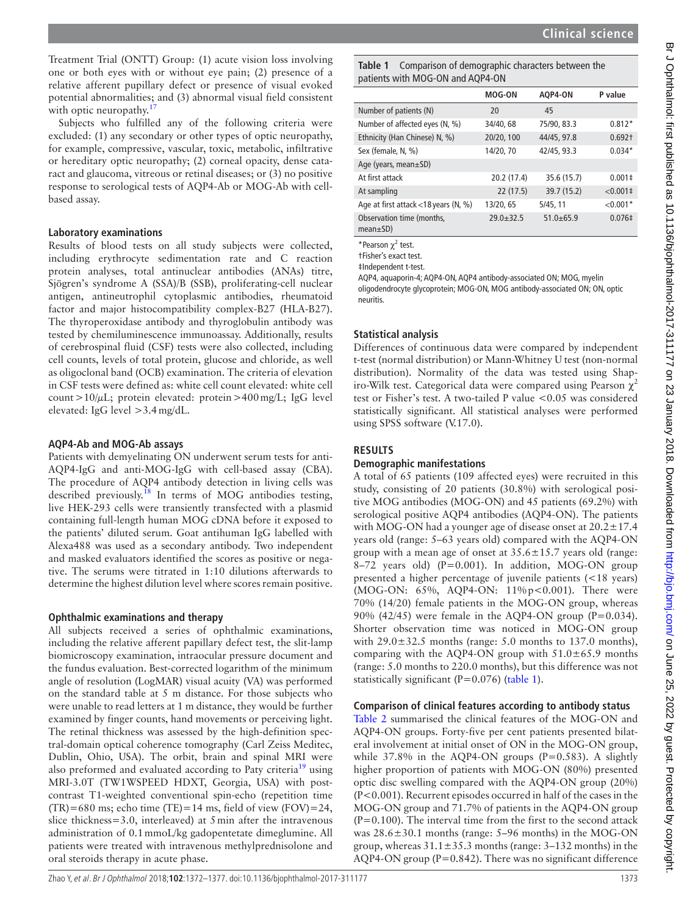Br J Ophthalmol: first published as 10.1136/bjophthalmol-2017-311177 on 23 January 2018. Downloaded from http://bjo.bmj.com/ on June 25, 2022 by guest. Protected by copyright Br Johnalmol: first published as 10.1136/bjophthalmol-2017-311177 on 23 January 2018. Downloaded from/ bu bhiliship.//bjo.bmj.com/ on June 25, 2022 by guest. Protected by copyright

Treatment Trial (ONTT) Group: (1) acute vision loss involving one or both eyes with or without eye pain; (2) presence of a relative afferent pupillary defect or presence of visual evoked potential abnormalities; and (3) abnormal visual field consistent with optic neuropathy. $1$ 

Subjects who fulfilled any of the following criteria were excluded: (1) any secondary or other types of optic neuropathy, for example, compressive, vascular, toxic, metabolic, infiltrative or hereditary optic neuropathy; (2) corneal opacity, dense cataract and glaucoma, vitreous or retinal diseases; or (3) no positive response to serological tests of AQP4-Ab or MOG-Ab with cellbased assay.

#### **Laboratory examinations**

Results of blood tests on all study subjects were collected, including erythrocyte sedimentation rate and C reaction protein analyses, total antinuclear antibodies (ANAs) titre, Sjögren's syndrome A (SSA)/B (SSB), proliferating-cell nuclear antigen, antineutrophil cytoplasmic antibodies, rheumatoid factor and major histocompatibility complex-B27 (HLA-B27). The thyroperoxidase antibody and thyroglobulin antibody was tested by chemiluminescence immunoassay. Additionally, results of cerebrospinal fluid (CSF) tests were also collected, including cell counts, levels of total protein, glucose and chloride, as well as oligoclonal band (OCB) examination. The criteria of elevation in CSF tests were defined as: white cell count elevated: white cell count >10/ $\mu$ L; protein elevated: protein >400 mg/L; IgG level elevated: IgG level >3.4mg/dL.

#### **AQP4-Ab and MOG-Ab assays**

Patients with demyelinating ON underwent serum tests for anti-AQP4-IgG and anti-MOG-IgG with cell-based assay (CBA). The procedure of AQP4 antibody detection in living cells was described previously.<sup>[18](#page-4-13)</sup> In terms of MOG antibodies testing, live HEK-293 cells were transiently transfected with a plasmid containing full-length human MOG cDNA before it exposed to the patients' diluted serum. Goat antihuman IgG labelled with Alexa488 was used as a secondary antibody. Two independent and masked evaluators identified the scores as positive or negative. The serums were titrated in 1:10 dilutions afterwards to determine the highest dilution level where scores remain positive.

#### **Ophthalmic examinations and therapy**

All subjects received a series of ophthalmic examinations, including the relative afferent papillary defect test, the slit-lamp biomicroscopy examination, intraocular pressure document and the fundus evaluation. Best-corrected logarithm of the minimum angle of resolution (LogMAR) visual acuity (VA) was performed on the standard table at 5 m distance. For those subjects who were unable to read letters at 1 m distance, they would be further examined by finger counts, hand movements or perceiving light. The retinal thickness was assessed by the high-definition spectral-domain optical coherence tomography (Carl Zeiss Meditec, Dublin, Ohio, USA). The orbit, brain and spinal MRI were also preformed and evaluated according to Paty criteria<sup>[19](#page-4-14)</sup> using MRI-3.0T (TW1WSPEED HDXT, Georgia, USA) with postcontrast T1-weighted conventional spin-echo (repetition time  $(TR)=680$  ms; echo time  $(TE)=14$  ms, field of view  $(FOV)=24$ , slice thickness=3.0, interleaved) at 5min after the intravenous administration of 0.1mmoL/kg gadopentetate dimeglumine. All patients were treated with intravenous methylprednisolone and oral steroids therapy in acute phase.

<span id="page-1-0"></span>**Table 1** Comparison of demographic characters between the patients with MOG-ON and AQP4-ON

|                                              | <b>MOG-ON</b> | AOP4-ON       | P value       |
|----------------------------------------------|---------------|---------------|---------------|
| Number of patients (N)                       | 20            | 45            |               |
| Number of affected eyes (N, %)               | 34/40, 68     | 75/90, 83.3   | $0.812*$      |
| Ethnicity (Han Chinese) N, %)                | 20/20, 100    | 44/45, 97.8   | $0.692+$      |
| Sex (female, N, %)                           | 14/20, 70     | 42/45, 93.3   | $0.034*$      |
| Age (years, mean±SD)                         |               |               |               |
| At first attack                              | 20.2 (17.4)   | 35.6 (15.7)   | $0.001 \pm$   |
| At sampling                                  | 22(17.5)      | 39.7 (15.2)   | $< 0.001 \pm$ |
| Age at first attack <18 years (N, %)         | 13/20, 65     | 5/45, 11      | $< 0.001*$    |
| Observation time (months,<br>$mean \pm SD$ ) | $29.0 + 32.5$ | $51.0 + 65.9$ | $0.076 \pm$   |

\*Pearson  $\chi^2$  test.

†Fisher's exact test.

‡Independent t-test.

AQP4, aquaporin-4; AQP4-ON, AQP4 antibody-associated ON; MOG, myelin oligodendrocyte glycoprotein; MOG-ON, MOG antibody-associated ON; ON, optic neuritis.

#### **Statistical analysis**

Differences of continuous data were compared by independent t-test (normal distribution) or Mann-Whitney U test (non-normal distribution). Normality of the data was tested using Shapiro-Wilk test. Categorical data were compared using Pearson  $\chi^2$ test or Fisher's test. A two-tailed P value <0.05 was considered statistically significant. All statistical analyses were performed using SPSS software (V.17.0).

### **Results**

#### **Demographic manifestations**

A total of 65 patients (109 affected eyes) were recruited in this study, consisting of 20 patients (30.8%) with serological positive MOG antibodies (MOG-ON) and 45 patients (69.2%) with serological positive AQP4 antibodies (AQP4-ON). The patients with MOG-ON had a younger age of disease onset at  $20.2 \pm 17.4$ years old (range: 5–63 years old) compared with the AQP4-ON group with a mean age of onset at  $35.6 \pm 15.7$  years old (range: 8–72 years old) ( $P=0.001$ ). In addition, MOG-ON group presented a higher percentage of juvenile patients (<18 years) (MOG-ON: 65%, AQP4-ON: 11%p<0.001). There were 70% (14/20) female patients in the MOG-ON group, whereas 90% (42/45) were female in the AQP4-ON group (P=0.034). Shorter observation time was noticed in MOG-ON group with 29.0±32.5 months (range: 5.0 months to 137.0 months), comparing with the AQP4-ON group with  $51.0\pm65.9$  months (range: 5.0 months to 220.0 months), but this difference was not statistically significant ( $P=0.076$ ) [\(table](#page-1-0) 1).

#### **Comparison of clinical features according to antibody status**

[Table](#page-2-0) 2 summarised the clinical features of the MOG-ON and AQP4-ON groups. Forty-five per cent patients presented bilateral involvement at initial onset of ON in the MOG-ON group, while  $37.8\%$  in the AQP4-ON groups (P=0.583). A slightly higher proportion of patients with MOG-ON (80%) presented optic disc swelling compared with the AQP4-ON group (20%) (P<0.001). Recurrent episodes occurred in half of the cases in the MOG-ON group and 71.7% of patients in the AQP4-ON group  $(P=0.100)$ . The interval time from the first to the second attack was 28.6±30.1 months (range: 5–96 months) in the MOG-ON group, whereas  $31.1 \pm 35.3$  months (range:  $3-132$  months) in the AQP4-ON group ( $P=0.842$ ). There was no significant difference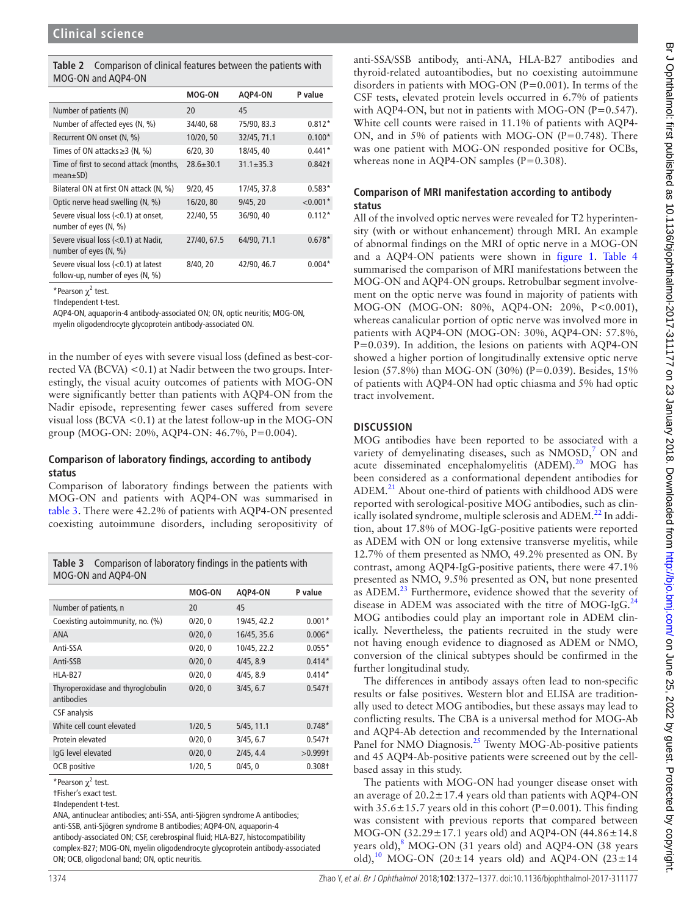<span id="page-2-0"></span>

| <b>Table 2</b> Comparison of clinical features between the patients with |
|--------------------------------------------------------------------------|
| MOG-ON and AQP4-ON                                                       |

|                                                                            | <b>MOG-ON</b> | AQP4-ON         | P value            |
|----------------------------------------------------------------------------|---------------|-----------------|--------------------|
| Number of patients (N)                                                     | 20            | 45              |                    |
| Number of affected eyes (N, %)                                             | 34/40, 68     | 75/90, 83.3     | $0.812*$           |
| Recurrent ON onset (N, %)                                                  | 10/20, 50     | 32/45, 71.1     | $0.100*$           |
| Times of ON attacks $\geq$ 3 (N, %)                                        | 6/20, 30      | 18/45, 40       | $0.441*$           |
| Time of first to second attack (months,<br>$mean \pm SD$ )                 | $28.6 + 30.1$ | $31.1 \pm 35.3$ | 0.842 <sup>†</sup> |
| Bilateral ON at first ON attack (N, %)                                     | 9/20, 45      | 17/45, 37.8     | $0.583*$           |
| Optic nerve head swelling (N, %)                                           | 16/20, 80     | 9/45, 20        | $< 0.001*$         |
| Severe visual loss (<0.1) at onset,<br>number of eyes (N, %)               | 22/40.55      | 36/90, 40       | $0.112*$           |
| Severe visual loss (<0.1) at Nadir,<br>number of eyes (N, %)               | 27/40, 67.5   | 64/90, 71.1     | $0.678*$           |
| Severe visual loss $(0.1)$ at latest<br>follow-up, number of eyes $(N, %)$ | 8/40, 20      | 42/90, 46.7     | $0.004*$           |

\*Pearson  $\chi^2$  test.

†Independent t-test.

AQP4-ON, aquaporin-4 antibody-associated ON; ON, optic neuritis; MOG-ON,

myelin oligodendrocyte glycoprotein antibody-associated ON.

in the number of eyes with severe visual loss (defined as best-corrected VA (BCVA)  $< 0.1$ ) at Nadir between the two groups. Interestingly, the visual acuity outcomes of patients with MOG-ON were significantly better than patients with AQP4-ON from the Nadir episode, representing fewer cases suffered from severe visual loss (BCVA  $< 0.1$ ) at the latest follow-up in the MOG-ON group (MOG-ON: 20%, AQP4-ON: 46.7%, P=0.004).

#### **Comparison of laboratory findings, according to antibody status**

Comparison of laboratory findings between the patients with MOG-ON and patients with AQP4-ON was summarised in [table](#page-2-1) 3. There were 42.2% of patients with AQP4-ON presented coexisting autoimmune disorders, including seropositivity of

<span id="page-2-1"></span>

| Comparison of laboratory findings in the patients with<br>Table 3<br>MOG-ON and AQP4-ON |               |             |                    |  |
|-----------------------------------------------------------------------------------------|---------------|-------------|--------------------|--|
|                                                                                         | <b>MOG-ON</b> | AQP4-ON     | P value            |  |
| Number of patients, n                                                                   | 20            | 45          |                    |  |
| Coexisting autoimmunity, no. (%)                                                        | 0/20, 0       | 19/45, 42.2 | $0.001*$           |  |
| <b>ANA</b>                                                                              | 0/20, 0       | 16/45, 35.6 | $0.006*$           |  |
| Anti-SSA                                                                                | 0/20, 0       | 10/45, 22.2 | $0.055*$           |  |
| Anti-SSB                                                                                | 0/20, 0       | 4/45, 8.9   | $0.414*$           |  |
| HLA-B27                                                                                 | 0/20, 0       | 4/45, 8.9   | $0.414*$           |  |
| Thyroperoxidase and thyroglobulin<br>antibodies                                         | 0/20, 0       | 3/45, 6.7   | $0.547+$           |  |
| <b>CSF</b> analysis                                                                     |               |             |                    |  |
| White cell count elevated                                                               | 1/20, 5       | 5/45, 11.1  | $0.748*$           |  |
| Protein elevated                                                                        | 0/20, 0       | 3/45, 6.7   | 0.547 <sup>†</sup> |  |
| IgG level elevated                                                                      | 0/20, 0       | 2/45, 4.4   | $>0.999$ t         |  |
| OCB positive                                                                            | 1/20, 5       | 0/45, 0     | 0.308†             |  |

\*Pearson  $\chi^2$  test.

ANA, antinuclear antibodies; anti-SSA, anti-Sjögren syndrome A antibodies; anti-SSB, anti-Sjögren syndrome B antibodies; AQP4-ON, aquaporin-4 antibody-associated ON; CSF, cerebrospinal fluid; HLA-B27, histocompatibility complex-B27; MOG-ON, myelin oligodendrocyte glycoprotein antibody-associated ON; OCB, oligoclonal band; ON, optic neuritis.

anti-SSA/SSB antibody, anti-ANA, HLA-B27 antibodies and thyroid-related autoantibodies, but no coexisting autoimmune disorders in patients with MOG-ON ( $P=0.001$ ). In terms of the CSF tests, elevated protein levels occurred in 6.7% of patients with AQP4-ON, but not in patients with MOG-ON (P=0.547). White cell counts were raised in 11.1% of patients with AQP4- ON, and in 5% of patients with MOG-ON (P=0.748). There was one patient with MOG-ON responded positive for OCBs, whereas none in AQP4-ON samples  $(P=0.308)$ .

#### **Comparison of MRI manifestation according to antibody status**

All of the involved optic nerves were revealed for T2 hyperintensity (with or without enhancement) through MRI. An example of abnormal findings on the MRI of optic nerve in a MOG-ON and a AQP4-ON patients were shown in [figure](#page-3-0) 1. [Table](#page-3-1) 4 summarised the comparison of MRI manifestations between the MOG-ON and AQP4-ON groups. Retrobulbar segment involvement on the optic nerve was found in majority of patients with MOG-ON (MOG-ON: 80%, AQP4-ON: 20%, P<0.001), whereas canalicular portion of optic nerve was involved more in patients with AQP4-ON (MOG-ON: 30%, AQP4-ON: 57.8%, P=0.039). In addition, the lesions on patients with AQP4-ON showed a higher portion of longitudinally extensive optic nerve lesion (57.8%) than MOG-ON (30%) (P=0.039). Besides, 15% of patients with AQP4-ON had optic chiasma and 5% had optic tract involvement.

### **Discussion**

MOG antibodies have been reported to be associated with a variety of demyelinating diseases, such as  $NMOSD$ ,  $\overline{O}$  ON and acute disseminated encephalomyelitis (ADEM).<sup>20</sup> MOG has been considered as a conformational dependent antibodies for ADEM.<sup>21</sup> About one-third of patients with childhood ADS were reported with serological-positive MOG antibodies, such as clinically isolated syndrome, multiple sclerosis and ADEM.<sup>22</sup> In addition, about 17.8% of MOG-IgG-positive patients were reported as ADEM with ON or long extensive transverse myelitis, while 12.7% of them presented as NMO, 49.2% presented as ON. By contrast, among AQP4-IgG-positive patients, there were 47.1% presented as NMO, 9.5% presented as ON, but none presented as ADEM.[23](#page-4-18) Furthermore, evidence showed that the severity of disease in ADEM was associated with the titre of MOG-IgG. $^{24}$  $^{24}$  $^{24}$ MOG antibodies could play an important role in ADEM clinically. Nevertheless, the patients recruited in the study were not having enough evidence to diagnosed as ADEM or NMO, conversion of the clinical subtypes should be confirmed in the further longitudinal study.

The differences in antibody assays often lead to non-specific results or false positives. Western blot and ELISA are traditionally used to detect MOG antibodies, but these assays may lead to conflicting results. The CBA is a universal method for MOG-Ab and AQP4-Ab detection and recommended by the International Panel for NMO Diagnosis.<sup>[25](#page-4-20)</sup> Twenty MOG-Ab-positive patients and 45 AQP4-Ab-positive patients were screened out by the cellbased assay in this study.

The patients with MOG-ON had younger disease onset with an average of  $20.2 \pm 17.4$  years old than patients with AQP4-ON with  $35.6 \pm 15.7$  years old in this cohort (P=0.001). This finding was consistent with previous reports that compared between MOG-ON (32.29±17.1 years old) and AQP4-ON (44.86±14.8 years old), <sup>[8](#page-4-21)</sup> MOG-ON (31 years old) and AQP4-ON (38 years old),<sup>[10](#page-4-22)</sup> MOG-ON (20 $\pm$ 14 years old) and AQP4-ON (23 $\pm$ 14

<sup>†</sup>Fisher's exact test.

<sup>‡</sup>Independent t-test.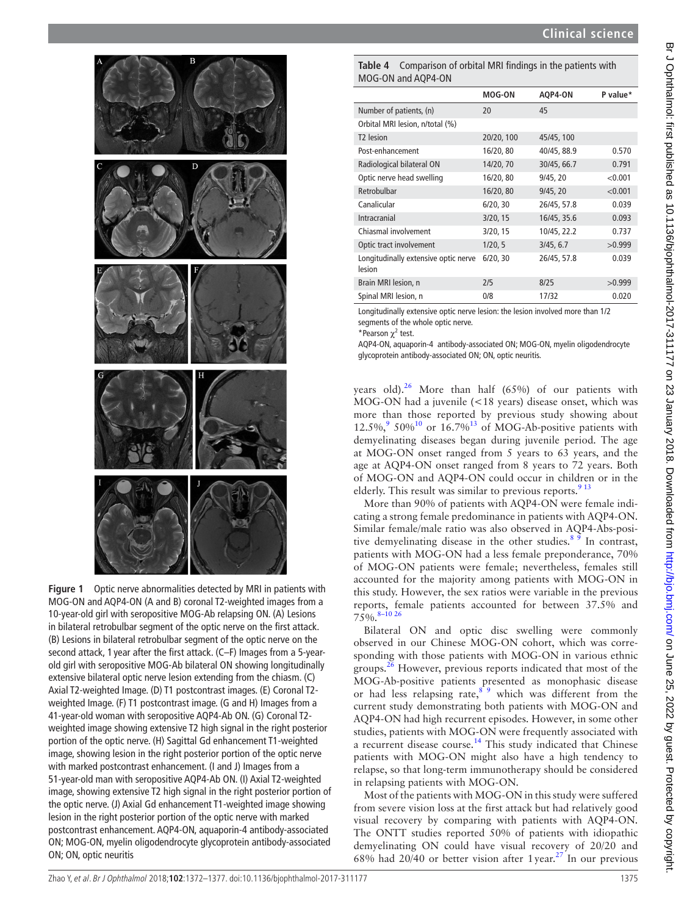

<span id="page-3-0"></span>**Figure 1** Optic nerve abnormalities detected by MRI in patients with MOG-ON and AQP4-ON (A and B) coronal T2-weighted images from a 10-year-old girl with seropositive MOG-Ab relapsing ON. (A) Lesions in bilateral retrobulbar segment of the optic nerve on the first attack. (B) Lesions in bilateral retrobulbar segment of the optic nerve on the second attack, 1 year after the first attack. (C–F) Images from a 5-yearold girl with seropositive MOG-Ab bilateral ON showing longitudinally extensive bilateral optic nerve lesion extending from the chiasm. (C) Axial T2-weighted Image. (D) T1 postcontrast images. (E) Coronal T2 weighted Image. (F) T1 postcontrast image. (G and H) Images from a 41-year-old woman with seropositive AQP4-Ab ON. (G) Coronal T2 weighted image showing extensive T2 high signal in the right posterior portion of the optic nerve. (H) Sagittal Gd enhancement T1-weighted image, showing lesion in the right posterior portion of the optic nerve with marked postcontrast enhancement. (I and J) Images from a 51-year-old man with seropositive AQP4-Ab ON. (I) Axial T2-weighted image, showing extensive T2 high signal in the right posterior portion of the optic nerve. (J) Axial Gd enhancement T1-weighted image showing lesion in the right posterior portion of the optic nerve with marked postcontrast enhancement. AQP4-ON, aquaporin-4 antibody-associated ON; MOG-ON, myelin oligodendrocyte glycoprotein antibody-associated ON; ON, optic neuritis

<span id="page-3-1"></span>**Table 4** Comparison of orbital MRI findings in the patients with MOG-ON and AQP4-ON

|                                                | <b>MOG-ON</b> | AQP4-ON     | P value* |
|------------------------------------------------|---------------|-------------|----------|
| Number of patients, (n)                        | 20            | 45          |          |
| Orbital MRI lesion, n/total (%)                |               |             |          |
| T <sub>2</sub> lesion                          | 20/20, 100    | 45/45, 100  |          |
| Post-enhancement                               | 16/20, 80     | 40/45, 88.9 | 0.570    |
| Radiological bilateral ON                      | 14/20, 70     | 30/45, 66.7 | 0.791    |
| Optic nerve head swelling                      | 16/20, 80     | 9/45, 20    | < 0.001  |
| Retrobulbar                                    | 16/20, 80     | 9/45, 20    | < 0.001  |
| Canalicular                                    | 6/20, 30      | 26/45, 57.8 | 0.039    |
| Intracranial                                   | 3/20, 15      | 16/45, 35.6 | 0.093    |
| Chiasmal involvement                           | 3/20, 15      | 10/45, 22.2 | 0.737    |
| Optic tract involvement                        | 1/20, 5       | 3/45, 6.7   | >0.999   |
| Longitudinally extensive optic nerve<br>lesion | 6/20, 30      | 26/45, 57.8 | 0.039    |
| Brain MRI lesion, n                            | 2/5           | 8/25        | >0.999   |
| Spinal MRI lesion, n                           | 0/8           | 17/32       | 0.020    |

Longitudinally extensive optic nerve lesion: the lesion involved more than 1/2 segments of the whole optic nerve.

\*Pearson  $\chi^2$  test.

AQP4-ON, aquaporin-4 antibody-associated ON; MOG-ON, myelin oligodendrocyte glycoprotein antibody-associated ON; ON, optic neuritis.

years old). $^{26}$  $^{26}$  $^{26}$  More than half (65%) of our patients with MOG-ON had a juvenile (<18 years) disease onset, which was more than those reported by previous study showing about 12.5%, $9.50\%$  $9.50\%$  or  $16.7\%$ <sup>13</sup> of MOG-Ab-positive patients with demyelinating diseases began during juvenile period. The age at MOG-ON onset ranged from 5 years to 63 years, and the age at AQP4-ON onset ranged from 8 years to 72 years. Both of MOG-ON and AQP4-ON could occur in children or in the elderly. This result was similar to previous reports.  $913$ 

More than 90% of patients with AQP4-ON were female indicating a strong female predominance in patients with AQP4-ON. Similar female/male ratio was also observed in AQP4-Abs-positive demyelinating disease in the other studies.<sup>8  $\overline{9}$ </sup> In contrast, patients with MOG-ON had a less female preponderance, 70% of MOG-ON patients were female; nevertheless, females still accounted for the majority among patients with MOG-ON in this study. However, the sex ratios were variable in the previous reports, female patients accounted for between 37.5% and  $75\%$ .  $8-10\,26$ 

Bilateral ON and optic disc swelling were commonly observed in our Chinese MOG-ON cohort, which was corresponding with those patients with MOG-ON in various ethnic groups.[26](#page-5-0) However, previous reports indicated that most of the MOG-Ab-positive patients presented as monophasic disease or had less relapsing rate, $8^{\degree}$  which was different from the current study demonstrating both patients with MOG-ON and AQP4-ON had high recurrent episodes. However, in some other studies, patients with MOG-ON were frequently associated with a recurrent disease course.<sup>14</sup> This study indicated that Chinese patients with MOG-ON might also have a high tendency to relapse, so that long-term immunotherapy should be considered in relapsing patients with MOG-ON.

Most of the patients with MOG-ON in this study were suffered from severe vision loss at the first attack but had relatively good visual recovery by comparing with patients with AQP4-ON. The ONTT studies reported 50% of patients with idiopathic demyelinating ON could have visual recovery of 20/20 and 68% had  $20/40$  or better vision after 1 year.<sup>27</sup> In our previous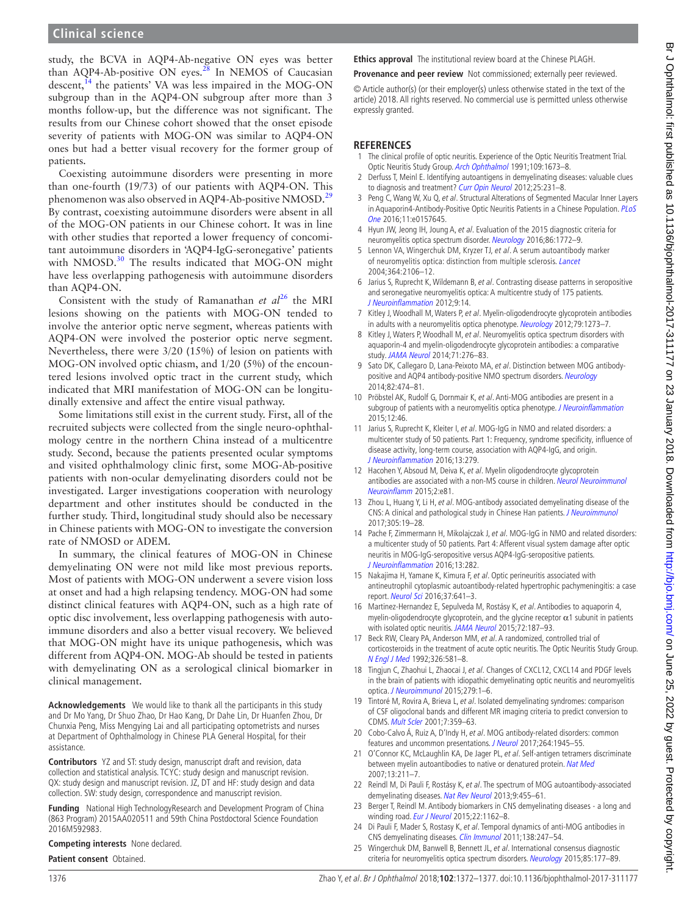study, the BCVA in AQP4-Ab-negative ON eyes was better than AQP4-Ab-positive ON eyes.[28](#page-5-2) In NEMOS of Caucasian descent,<sup>14</sup> the patients' VA was less impaired in the MOG-ON subgroup than in the AQP4-ON subgroup after more than 3 months follow-up, but the difference was not significant. The results from our Chinese cohort showed that the onset episode severity of patients with MOG-ON was similar to AQP4-ON ones but had a better visual recovery for the former group of patients.

Coexisting autoimmune disorders were presenting in more than one-fourth (19/73) of our patients with AQP4-ON. This phenomenon was also observed in AQP4-Ab-positive NMOSD.<sup>[29](#page-5-3)</sup> By contrast, coexisting autoimmune disorders were absent in all of the MOG-ON patients in our Chinese cohort. It was in line with other studies that reported a lower frequency of concomitant autoimmune disorders in 'AQP4-IgG-seronegative' patients with NMOSD.<sup>30</sup> The results indicated that MOG-ON might have less overlapping pathogenesis with autoimmune disorders than AQP4-ON.

Consistent with the study of Ramanathan *et al*<sup>26</sup> the MRI lesions showing on the patients with MOG-ON tended to involve the anterior optic nerve segment, whereas patients with AQP4-ON were involved the posterior optic nerve segment. Nevertheless, there were 3/20 (15%) of lesion on patients with MOG-ON involved optic chiasm, and 1/20 (5%) of the encountered lesions involved optic tract in the current study, which indicated that MRI manifestation of MOG-ON can be longitudinally extensive and affect the entire visual pathway.

Some limitations still exist in the current study. First, all of the recruited subjects were collected from the single neuro-ophthalmology centre in the northern China instead of a multicentre study. Second, because the patients presented ocular symptoms and visited ophthalmology clinic first, some MOG-Ab-positive patients with non-ocular demyelinating disorders could not be investigated. Larger investigations cooperation with neurology department and other institutes should be conducted in the further study. Third, longitudinal study should also be necessary in Chinese patients with MOG-ON to investigate the conversion rate of NMOSD or ADEM.

In summary, the clinical features of MOG-ON in Chinese demyelinating ON were not mild like most previous reports. Most of patients with MOG-ON underwent a severe vision loss at onset and had a high relapsing tendency. MOG-ON had some distinct clinical features with AQP4-ON, such as a high rate of optic disc involvement, less overlapping pathogenesis with autoimmune disorders and also a better visual recovery. We believed that MOG-ON might have its unique pathogenesis, which was different from AQP4-ON. MOG-Ab should be tested in patients with demyelinating ON as a serological clinical biomarker in clinical management.

**Acknowledgements** We would like to thank all the participants in this study and Dr Mo Yang, Dr Shuo Zhao, Dr Hao Kang, Dr Dahe Lin, Dr Huanfen Zhou, Dr Chunxia Peng, Miss Mengying Lai and all participating optometrists and nurses at Department of Ophthalmology in Chinese PLA General Hospital, for their assistance.

**Contributors** YZ and ST: study design, manuscript draft and revision, data collection and statistical analysis. TCYC: study design and manuscript revision. QX: study design and manuscript revision. JZ, DT and HF: study design and data collection. SW: study design, correspondence and manuscript revision.

**Funding** National High TechnologyResearch and Development Program of China (863 Program) 2015AA020511 and 59th China Postdoctoral Science Foundation 2016M592983.

**Competing interests** None declared.

**Patient consent** Obtained.

**Ethics approval** The institutional review board at the Chinese PLAGH.

**Provenance and peer review** Not commissioned; externally peer reviewed.

© Article author(s) (or their employer(s) unless otherwise stated in the text of the article) 2018. All rights reserved. No commercial use is permitted unless otherwise expressly granted.

#### **References**

- <span id="page-4-0"></span>1 The clinical profile of optic neuritis. Experience of the Optic Neuritis Treatment Trial. Optic Neuritis Study Group. [Arch Ophthalmol](http://www.ncbi.nlm.nih.gov/pubmed/1841573) 1991;109:1673–8.
- <span id="page-4-1"></span>2 Derfuss T, Meinl E. Identifying autoantigens in demyelinating diseases: valuable clues to diagnosis and treatment? [Curr Opin Neurol](http://dx.doi.org/10.1097/WCO.0b013e3283533a64) 2012;25:231-8.
- <span id="page-4-2"></span>3 Peng C, Wang W, Xu Q, et al. Structural Alterations of Segmented Macular Inner Layers in Aquaporin4-Antibody-Positive Optic Neuritis Patients in a Chinese Population. PLoS [One](http://dx.doi.org/10.1371/journal.pone.0157645) 2016;11:e0157645.
- <span id="page-4-3"></span>4 Hyun JW, Jeong IH, Joung A, et al. Evaluation of the 2015 diagnostic criteria for neuromyelitis optica spectrum disorder. [Neurology](http://dx.doi.org/10.1212/WNL.0000000000002655) 2016;86:1772–9.
- <span id="page-4-4"></span>5 Lennon VA, Wingerchuk DM, Kryzer TJ, et al. A serum autoantibody marker of neuromyelitis optica: distinction from multiple sclerosis. *[Lancet](http://dx.doi.org/10.1016/S0140-6736(04)17551-X)* 2004;364:2106–12.
- <span id="page-4-5"></span>6 Jarius S, Ruprecht K, Wildemann B, et al. Contrasting disease patterns in seropositive and seronegative neuromyelitis optica: A multicentre study of 175 patients. [J Neuroinflammation](http://dx.doi.org/10.1186/1742-2094-9-14) 2012;9:14.
- <span id="page-4-6"></span>7 Kitley J, Woodhall M, Waters P, et al. Myelin-oligodendrocyte glycoprotein antibodies in adults with a neuromyelitis optica phenotype. [Neurology](http://dx.doi.org/10.1212/WNL.0b013e31826aac4e) 2012;79:1273-7.
- <span id="page-4-21"></span>8 Kitley J, Waters P, Woodhall M, et al. Neuromyelitis optica spectrum disorders with aquaporin-4 and myelin-oligodendrocyte glycoprotein antibodies: a comparative study. [JAMA Neurol](http://dx.doi.org/10.1001/jamaneurol.2013.5857) 2014;71:276–83.
- <span id="page-4-23"></span>9 Sato DK, Callegaro D, Lana-Peixoto MA, et al. Distinction between MOG antibody-positive and AQP4 antibody-positive NMO spectrum disorders. [Neurology](http://dx.doi.org/10.1212/WNL.0000000000000101) 2014;82:474–81.
- <span id="page-4-22"></span>10 Pröbstel AK, Rudolf G, Dornmair K, et al. Anti-MOG antibodies are present in a subgroup of patients with a neuromyelitis optica phenotype. [J Neuroinflammation](http://dx.doi.org/10.1186/s12974-015-0256-1) 2015;12:46.
- <span id="page-4-7"></span>11 Jarius S, Ruprecht K, Kleiter I, et al. MOG-IgG in NMO and related disorders: a multicenter study of 50 patients. Part 1: Frequency, syndrome specificity, influence of disease activity, long-term course, association with AQP4-IgG, and origin. [J Neuroinflammation](http://dx.doi.org/10.1186/s12974-016-0717-1) 2016;13:279.
- <span id="page-4-8"></span>12 Hacohen Y, Absoud M, Deiva K, et al. Myelin oligodendrocyte glycoprotein antibodies are associated with a non-MS course in children. Neurol Neuroimmunol [Neuroinflamm](http://dx.doi.org/10.1212/NXI.0000000000000081) 2015;2:e81.
- <span id="page-4-9"></span>13 Zhou L, Huang Y, Li H, et al. MOG-antibody associated demyelinating disease of the CNS: A clinical and pathological study in Chinese Han patients. [J Neuroimmunol](http://dx.doi.org/10.1016/j.jneuroim.2017.01.007) 2017;305:19–28.
- <span id="page-4-10"></span>14 Pache F, Zimmermann H, Mikolajczak J, et al. MOG-IgG in NMO and related disorders: a multicenter study of 50 patients. Part 4: Afferent visual system damage after optic neuritis in MOG-IgG-seropositive versus AQP4-IgG-seropositive patients. [J Neuroinflammation](http://dx.doi.org/10.1186/s12974-016-0720-6) 2016;13:282.
- <span id="page-4-11"></span>15 Nakajima H, Yamane K, Kimura F, et al. Optic perineuritis associated with antineutrophil cytoplasmic autoantibody-related hypertrophic pachymeningitis: a case report. [Neurol Sci](http://dx.doi.org/10.1007/s10072-015-2454-0) 2016;37:641–3.
- 16 Martinez-Hernandez E, Sepulveda M, Rostásy K, et al. Antibodies to aquaporin 4, myelin-oligodendrocyte glycoprotein, and the glycine receptor  $\alpha$ 1 subunit in patients with isolated optic neuritis. [JAMA Neurol](http://dx.doi.org/10.1001/jamaneurol.2014.3602) 2015;72:187-93.
- <span id="page-4-12"></span>17 Beck RW, Cleary PA, Anderson MM, et al. A randomized, controlled trial of corticosteroids in the treatment of acute optic neuritis. The Optic Neuritis Study Group. [N Engl J Med](http://dx.doi.org/10.1056/NEJM199202273260901) 1992;326:581–8.
- <span id="page-4-13"></span>18 Tingjun C, Zhaohui L, Zhaocai J, et al. Changes of CXCL12, CXCL14 and PDGF levels in the brain of patients with idiopathic demyelinating optic neuritis and neuromyelitis optica. [J Neuroimmunol](http://dx.doi.org/10.1016/j.jneuroim.2014.12.004) 2015;279:1–6.
- <span id="page-4-14"></span>Tintoré M, Rovira A, Brieva L, et al. Isolated demyelinating syndromes: comparison of CSF oligoclonal bands and different MR imaging criteria to predict conversion to CDMS. [Mult Scler](http://dx.doi.org/10.1191/135245801701567069) 2001;7:359–63.
- <span id="page-4-15"></span>20 Cobo-Calvo Á, Ruiz A, D'Indy H, et al. MOG antibody-related disorders: common features and uncommon presentations. [J Neurol](http://dx.doi.org/10.1007/s00415-017-8583-z) 2017;264:1945-55
- <span id="page-4-16"></span>21 O'Connor KC, McLaughlin KA, De Jager PL, et al. Self-antigen tetramers discriminate between myelin autoantibodies to native or denatured protein. [Nat Med](http://dx.doi.org/10.1038/nm1488) 2007;13:211–7.
- <span id="page-4-17"></span>22 Reindl M, Di Pauli F, Rostásy K, et al. The spectrum of MOG autoantibody-associated demyelinating diseases. [Nat Rev Neurol](http://dx.doi.org/10.1038/nrneurol.2013.118) 2013;9:455–61.
- <span id="page-4-18"></span>23 Berger T, Reindl M. Antibody biomarkers in CNS demyelinating diseases - a long and winding road. [Eur J Neurol](http://dx.doi.org/10.1111/ene.12759) 2015;22:1162-8.
- <span id="page-4-19"></span>24 Di Pauli F, Mader S, Rostasy K, et al. Temporal dynamics of anti-MOG antibodies in CNS demyelinating diseases. [Clin Immunol](http://dx.doi.org/10.1016/j.clim.2010.11.013) 2011;138:247–54.
- <span id="page-4-20"></span>25 Wingerchuk DM, Banwell B, Bennett JL, et al. International consensus diagnostic criteria for neuromyelitis optica spectrum disorders. [Neurology](http://dx.doi.org/10.1212/WNL.0000000000001729) 2015;85:177-89.